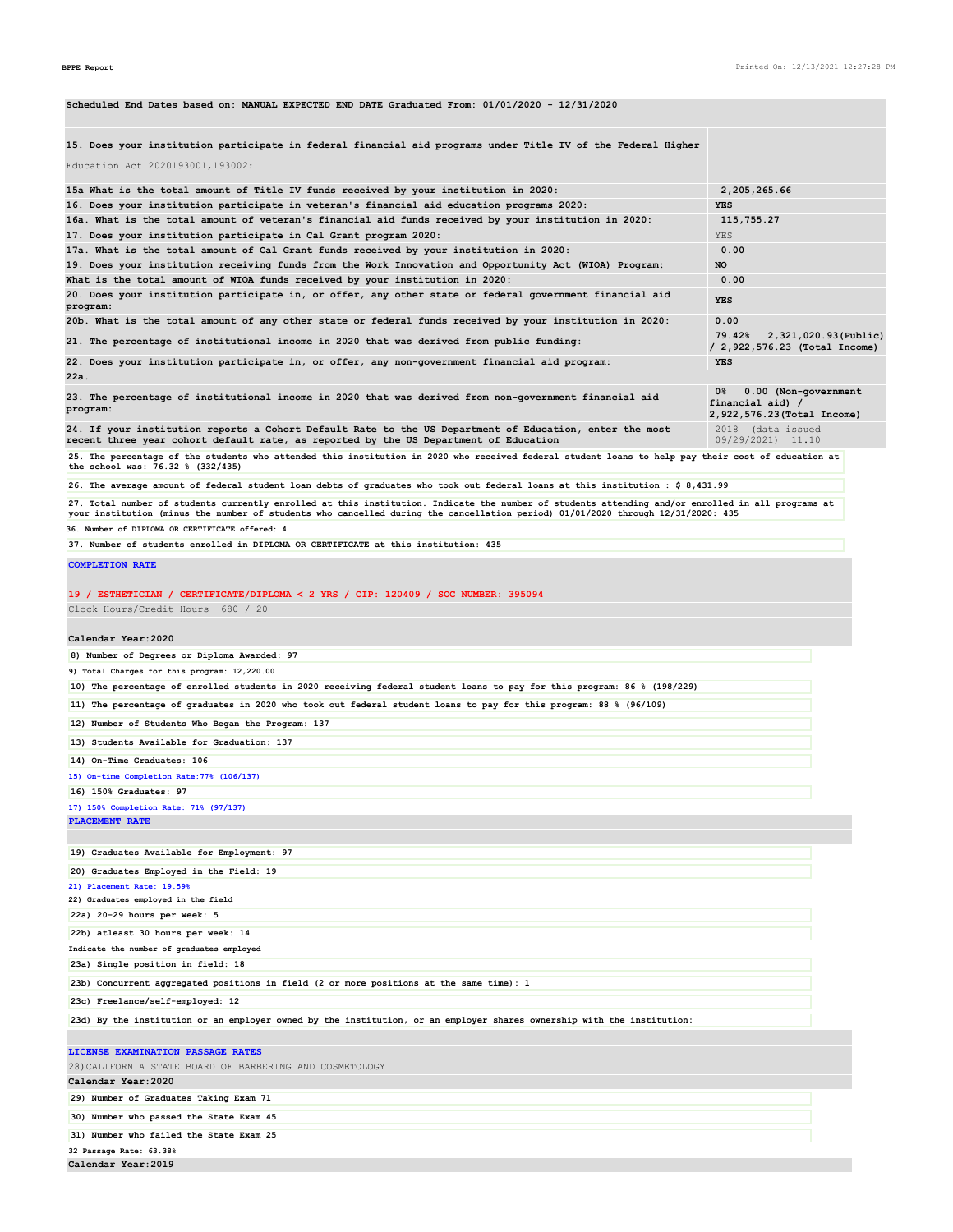| Scheduled End Dates based on: MANUAL EXPECTED END DATE Graduated From: 01/01/2020 - 12/31/2020                                                                                                                                                                                       |                                                                              |
|--------------------------------------------------------------------------------------------------------------------------------------------------------------------------------------------------------------------------------------------------------------------------------------|------------------------------------------------------------------------------|
| 15. Does your institution participate in federal financial aid programs under Title IV of the Federal Higher                                                                                                                                                                         |                                                                              |
| Education Act 2020193001, 193002:                                                                                                                                                                                                                                                    |                                                                              |
| 15a What is the total amount of Title IV funds received by your institution in 2020:                                                                                                                                                                                                 | 2,205,265.66                                                                 |
| 16. Does your institution participate in veteran's financial aid education programs 2020:                                                                                                                                                                                            | YES                                                                          |
| 16a. What is the total amount of veteran's financial aid funds received by your institution in 2020:                                                                                                                                                                                 | 115,755.27                                                                   |
| 17. Does your institution participate in Cal Grant program 2020:                                                                                                                                                                                                                     | YES                                                                          |
| 17a. What is the total amount of Cal Grant funds received by your institution in 2020:<br>19. Does your institution receiving funds from the Work Innovation and Opportunity Act (WIOA) Program:                                                                                     | 0.00<br>NO                                                                   |
| What is the total amount of WIOA funds received by your institution in 2020:                                                                                                                                                                                                         | 0.00                                                                         |
| 20. Does your institution participate in, or offer, any other state or federal government financial aid<br>program:                                                                                                                                                                  | YES                                                                          |
| 20b. What is the total amount of any other state or federal funds received by your institution in 2020:                                                                                                                                                                              | 0.00                                                                         |
| 21. The percentage of institutional income in 2020 that was derived from public funding:                                                                                                                                                                                             | 2,321,020.93(Public)<br>79.42%<br>/ 2,922,576.23 (Total Income)              |
| 22. Does your institution participate in, or offer, any non-government financial aid program:<br>22a.                                                                                                                                                                                | <b>YES</b>                                                                   |
| 23. The percentage of institutional income in 2020 that was derived from non-government financial aid<br>program:                                                                                                                                                                    | 0.00 (Non-government<br>0%<br>financial aid) /<br>2,922,576.23(Total Income) |
| 24. If your institution reports a Cohort Default Rate to the US Department of Education, enter the most<br>recent three year cohort default rate, as reported by the US Department of Education                                                                                      | 2018 (data issued<br>09/29/2021) 11.10                                       |
| 25. The percentage of the students who attended this institution in 2020 who received federal student loans to help pay their cost of education at<br>the school was: 76.32 % (332/435)                                                                                              |                                                                              |
| 26. The average amount of federal student loan debts of graduates who took out federal loans at this institution : \$ 8,431.99                                                                                                                                                       |                                                                              |
| 27. Total number of students currently enrolled at this institution. Indicate the number of students attending and/or enrolled in all programs at<br>your institution (minus the number of students who cancelled during the cancellation period) 01/01/2020 through 12/31/2020: 435 |                                                                              |
| 36. Number of DIPLOMA OR CERTIFICATE offered: 4                                                                                                                                                                                                                                      |                                                                              |
| 37. Number of students enrolled in DIPLOMA OR CERTIFICATE at this institution: 435                                                                                                                                                                                                   |                                                                              |
| <b>COMPLETION RATE</b>                                                                                                                                                                                                                                                               |                                                                              |
| 19 / ESTHETICIAN / CERTIFICATE/DIPLOMA < 2 YRS / CIP: 120409 / SOC NUMBER: 395094<br>Clock Hours/Credit Hours 680 / 20                                                                                                                                                               |                                                                              |
|                                                                                                                                                                                                                                                                                      |                                                                              |
| Calendar Year: 2020                                                                                                                                                                                                                                                                  |                                                                              |
| 8) Number of Degrees or Diploma Awarded: 97<br>9) Total Charges for this program: 12,220.00                                                                                                                                                                                          |                                                                              |
| 10) The percentage of enrolled students in 2020 receiving federal student loans to pay for this program: 86 % (198/229)                                                                                                                                                              |                                                                              |
| 11) The percentage of graduates in 2020 who took out federal student loans to pay for this program: 88 % (96/109)                                                                                                                                                                    |                                                                              |
| 12) Number of Students Who Began the Program: 137                                                                                                                                                                                                                                    |                                                                              |
| 13) Students Available for Graduation: 137                                                                                                                                                                                                                                           |                                                                              |
|                                                                                                                                                                                                                                                                                      |                                                                              |
| 14) On-Time Graduates: 106                                                                                                                                                                                                                                                           |                                                                              |
| 15) On-time Completion Rate: 77% (106/137)<br>16) 150% Graduates: 97                                                                                                                                                                                                                 |                                                                              |
| 17) 150% Completion Rate: 71% (97/137)                                                                                                                                                                                                                                               |                                                                              |
| PLACEMENT RATE                                                                                                                                                                                                                                                                       |                                                                              |
|                                                                                                                                                                                                                                                                                      |                                                                              |
| 19) Graduates Available for Employment: 97                                                                                                                                                                                                                                           |                                                                              |
| 20) Graduates Employed in the Field: 19                                                                                                                                                                                                                                              |                                                                              |
| 21) Placement Rate: 19.59%<br>22) Graduates employed in the field                                                                                                                                                                                                                    |                                                                              |
| 22a) 20-29 hours per week: 5                                                                                                                                                                                                                                                         |                                                                              |
| 22b) atleast 30 hours per week: 14                                                                                                                                                                                                                                                   |                                                                              |
| Indicate the number of graduates employed                                                                                                                                                                                                                                            |                                                                              |
| 23a) Single position in field: 18                                                                                                                                                                                                                                                    |                                                                              |
| 23b) Concurrent aggregated positions in field (2 or more positions at the same time): 1                                                                                                                                                                                              |                                                                              |
| 23c) Freelance/self-employed: 12                                                                                                                                                                                                                                                     |                                                                              |
| 23d) By the institution or an employer owned by the institution, or an employer shares ownership with the institution:                                                                                                                                                               |                                                                              |
|                                                                                                                                                                                                                                                                                      |                                                                              |
| LICENSE EXAMINATION PASSAGE RATES                                                                                                                                                                                                                                                    |                                                                              |
| 28) CALIFORNIA STATE BOARD OF BARBERING AND COSMETOLOGY                                                                                                                                                                                                                              |                                                                              |
| Calendar Year: 2020                                                                                                                                                                                                                                                                  |                                                                              |
| 29) Number of Graduates Taking Exam 71                                                                                                                                                                                                                                               |                                                                              |
| 30) Number who passed the State Exam 45                                                                                                                                                                                                                                              |                                                                              |
| 31) Number who failed the State Exam 25                                                                                                                                                                                                                                              |                                                                              |
| 32 Passage Rate: 63.38%                                                                                                                                                                                                                                                              |                                                                              |
| Calendar Year: 2019                                                                                                                                                                                                                                                                  |                                                                              |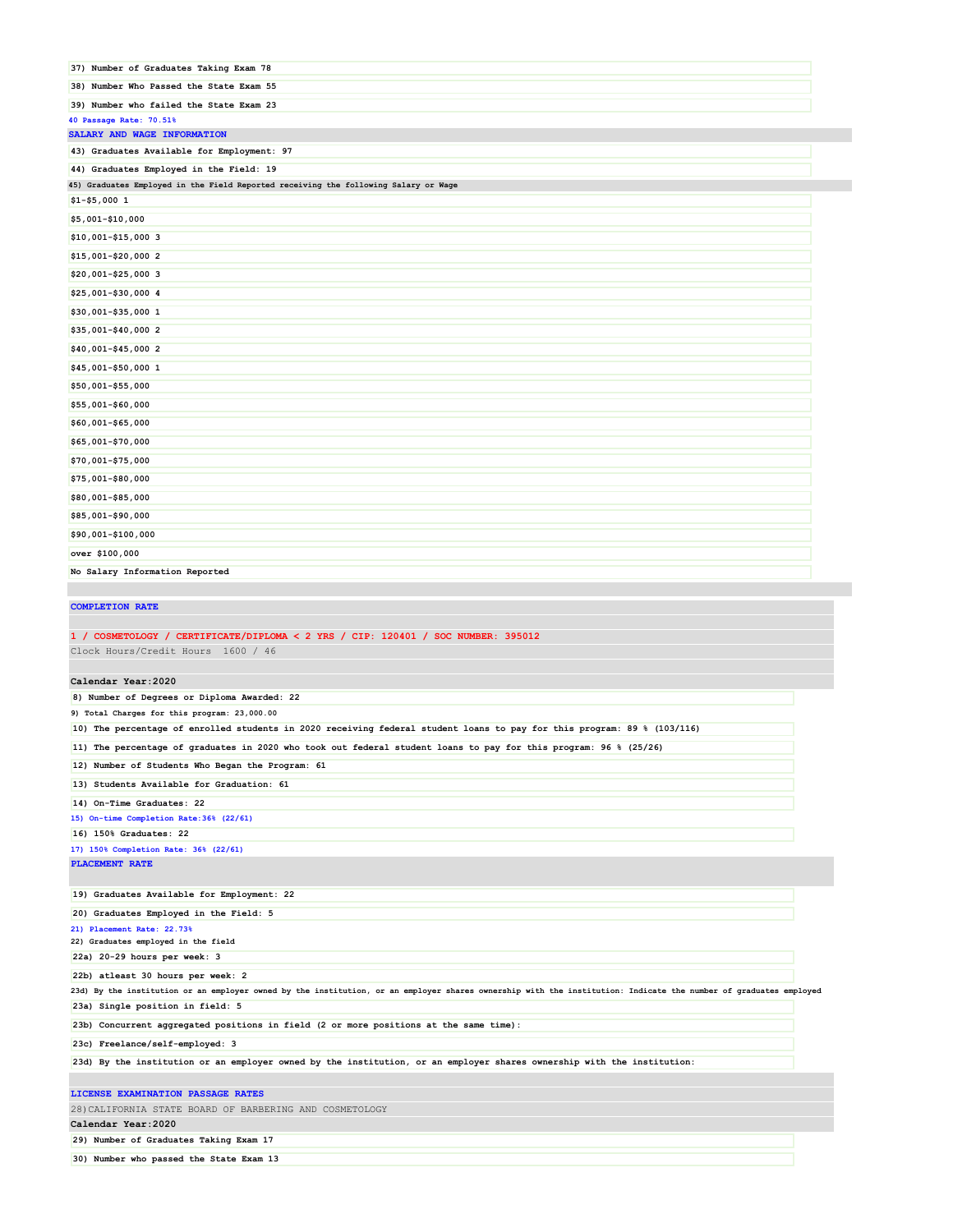| 37) Number of Graduates Taking Exam 78                                                                                  |
|-------------------------------------------------------------------------------------------------------------------------|
| 38) Number Who Passed the State Exam 55                                                                                 |
| 39) Number who failed the State Exam 23                                                                                 |
| 40 Passage Rate: 70.51%<br>SALARY AND WAGE INFORMATION                                                                  |
| 43) Graduates Available for Employment: 97                                                                              |
| 44) Graduates Employed in the Field: 19                                                                                 |
| 45) Graduates Employed in the Field Reported receiving the following Salary or Wage                                     |
| $$1 - $5,0001$                                                                                                          |
| \$5,001-\$10,000                                                                                                        |
| \$10,001-\$15,000 3                                                                                                     |
| \$15,001-\$20,000 2                                                                                                     |
| \$20,001-\$25,000 3                                                                                                     |
| \$25,001-\$30,000 4                                                                                                     |
| \$30,001-\$35,000 1                                                                                                     |
| \$35,001-\$40,000 2                                                                                                     |
| \$40,001-\$45,000 2                                                                                                     |
| \$45,001-\$50,000 1                                                                                                     |
| \$50,001-\$55,000                                                                                                       |
| \$55,001-\$60,000                                                                                                       |
| \$60,001-\$65,000                                                                                                       |
| \$65,001-\$70,000                                                                                                       |
| \$70,001-\$75,000                                                                                                       |
| \$75,001-\$80,000                                                                                                       |
| \$80,001-\$85,000                                                                                                       |
| \$85,001-\$90,000                                                                                                       |
| \$90,001-\$100,000                                                                                                      |
| over \$100,000                                                                                                          |
| No Salary Information Reported                                                                                          |
|                                                                                                                         |
| <b>COMPLETION RATE</b>                                                                                                  |
|                                                                                                                         |
| 1 / COSMETOLOGY / CERTIFICATE/DIPLOMA < 2 YRS / CIP: 120401 / SOC NUMBER: 395012                                        |
| Clock Hours/Credit Hours 1600 / 46                                                                                      |
| Calendar Year: 2020                                                                                                     |
| 8) Number of Degrees or Diploma Awarded: 22                                                                             |
| 9) Total Charges for this program: 23,000.00                                                                            |
| 10) The percentage of enrolled students in 2020 receiving federal student loans to pay for this program: 89 % (103/116) |
| 11) The percentage of graduates in 2020 who took out federal student loans to pay for this program: 96 % (25/26)        |
| 12) Number of Students Who Began the Program: 61                                                                        |
| 13) Students Available for Graduation: 61                                                                               |
| 14) On-Time Graduates: 22                                                                                               |
| 15) On-time Completion Rate: 36% (22/61)                                                                                |
| 16) 150% Graduates: 22                                                                                                  |
|                                                                                                                         |

**17) 150% Completion Rate: 36% (22/61) PLACEMENT RATE**

**19) Graduates Available for Employment: 22**

**20) Graduates Employed in the Field: 5 21) Placement Rate: 22.73% 22) Graduates employed in the field**

**22a) 20-29 hours per week: 3**

**22b) atleast 30 hours per week: 2**

**23d) By the institution or an employer owned by the institution, or an employer shares ownership with the institution: Indicate the number of graduates employed 23a) Single position in field: 5**

**23b) Concurrent aggregated positions in field (2 or more positions at the same time):**

**23c) Freelance/self-employed: 3**

**23d) By the institution or an employer owned by the institution, or an employer shares ownership with the institution:**

#### **LICENSE EXAMINATION PASSAGE RATES**

28)CALIFORNIA STATE BOARD OF BARBERING AND COSMETOLOGY

**Calendar Year:2020**

**29) Number of Graduates Taking Exam 17**

**30) Number who passed the State Exam 13**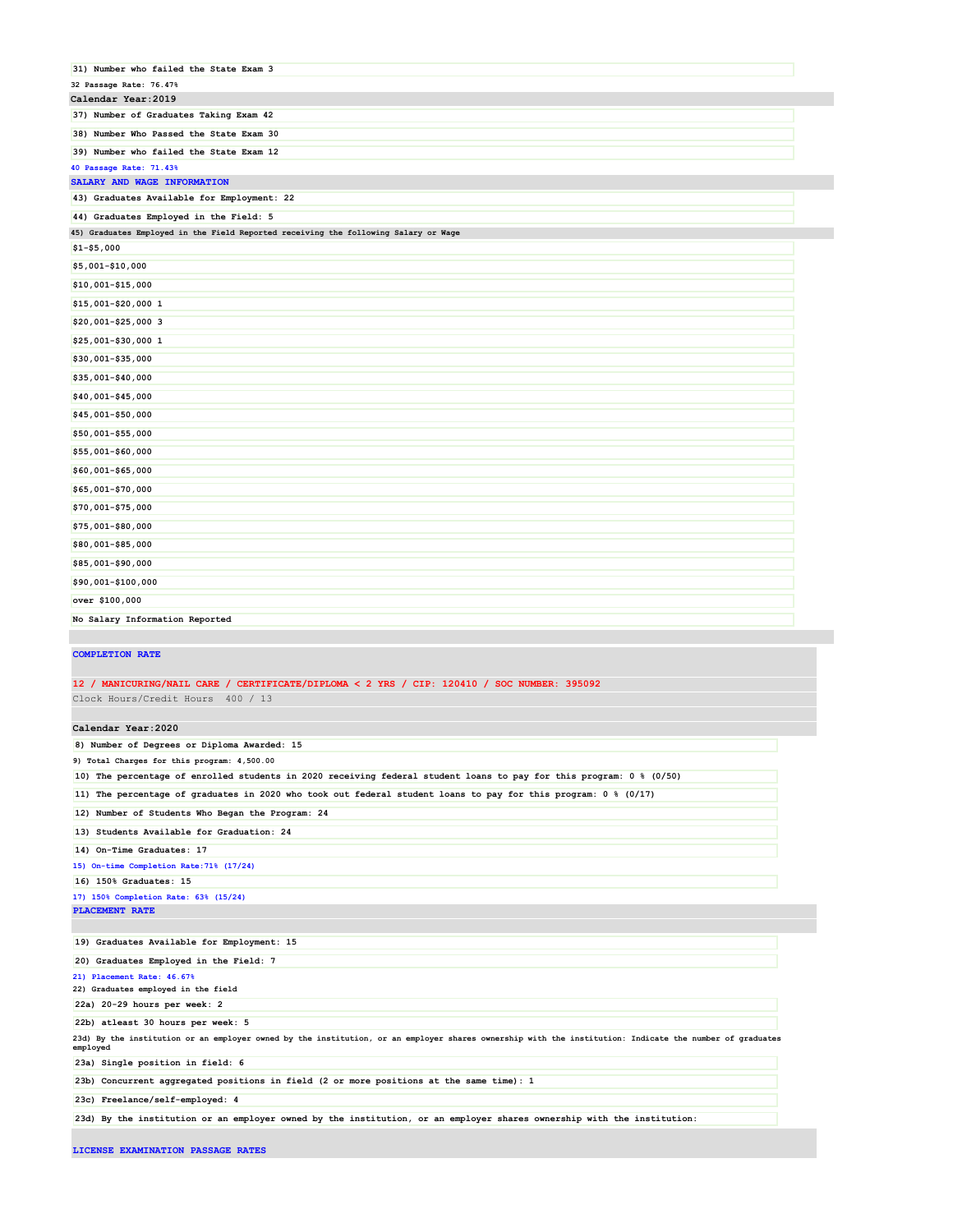| 31) Number who failed the State Exam 3                                              |  |
|-------------------------------------------------------------------------------------|--|
| 32 Passage Rate: 76.47%                                                             |  |
| Calendar Year: 2019                                                                 |  |
| 37) Number of Graduates Taking Exam 42                                              |  |
| 38) Number Who Passed the State Exam 30                                             |  |
| 39) Number who failed the State Exam 12                                             |  |
| 40 Passage Rate: 71.43%                                                             |  |
| SALARY AND WAGE INFORMATION                                                         |  |
| 43) Graduates Available for Employment: 22                                          |  |
| 44) Graduates Employed in the Field: 5                                              |  |
| 45) Graduates Employed in the Field Reported receiving the following Salary or Wage |  |
| $$1 - $5,000$                                                                       |  |
| \$5,001-\$10,000                                                                    |  |
| \$10,001-\$15,000                                                                   |  |
| \$15,001-\$20,000 1                                                                 |  |
| \$20,001-\$25,000 3                                                                 |  |
| \$25,001-\$30,000 1                                                                 |  |
| \$30,001-\$35,000                                                                   |  |
| \$35,001-\$40,000                                                                   |  |
| \$40,001-\$45,000                                                                   |  |
| \$45,001-\$50,000                                                                   |  |
| \$50,001-\$55,000                                                                   |  |
| \$55,001-\$60,000                                                                   |  |
| \$60,001-\$65,000                                                                   |  |
| \$65,001-\$70,000                                                                   |  |
| \$70,001-\$75,000                                                                   |  |
| \$75,001-\$80,000                                                                   |  |
| \$80,001-\$85,000                                                                   |  |
| \$85,001-\$90,000                                                                   |  |
| \$90,001-\$100,000                                                                  |  |
| over \$100,000                                                                      |  |
| No Salary Information Reported                                                      |  |

### **COMPLETION RATE**

# **12 / MANICURING/NAIL CARE / CERTIFICATE/DIPLOMA < 2 YRS / CIP: 120410 / SOC NUMBER: 395092**

Clock Hours/Credit Hours 400 / 13

## **Calendar Year:2020**

| 8) Number of Degrees or Diploma Awarded: 15<br>9) Total Charges for this program: 4,500.00<br>10) The percentage of enrolled students in 2020 receiving federal student loans to pay for this program: 0 % (0/50) |  |
|-------------------------------------------------------------------------------------------------------------------------------------------------------------------------------------------------------------------|--|
|                                                                                                                                                                                                                   |  |
|                                                                                                                                                                                                                   |  |
|                                                                                                                                                                                                                   |  |
| 11) The percentage of graduates in 2020 who took out federal student loans to pay for this program: 0 % (0/17)                                                                                                    |  |
| 12) Number of Students Who Began the Program: 24                                                                                                                                                                  |  |
| 13) Students Available for Graduation: 24                                                                                                                                                                         |  |
| 14) On-Time Graduates: 17                                                                                                                                                                                         |  |
| 15) On-time Completion Rate: 71% (17/24)                                                                                                                                                                          |  |
| 16) 150% Graduates: 15                                                                                                                                                                                            |  |
| 17) 150% Completion Rate: 63% (15/24)                                                                                                                                                                             |  |
| PLACEMENT RATE                                                                                                                                                                                                    |  |
| 19) Graduates Available for Employment: 15                                                                                                                                                                        |  |
| 20) Graduates Employed in the Field: 7                                                                                                                                                                            |  |
| 21) Placement Rate: 46.67%                                                                                                                                                                                        |  |
| 22) Graduates employed in the field                                                                                                                                                                               |  |
| 22a) 20-29 hours per week: 2                                                                                                                                                                                      |  |
| 22b) atleast 30 hours per week: 5                                                                                                                                                                                 |  |
| 23d) By the institution or an employer owned by the institution, or an employer shares ownership with the institution: Indicate the number of graduates<br>employed                                               |  |
| 23a) Single position in field: 6                                                                                                                                                                                  |  |
| 23b) Concurrent aggregated positions in field (2 or more positions at the same time): 1                                                                                                                           |  |
| 23c) Freelance/self-employed: 4                                                                                                                                                                                   |  |
|                                                                                                                                                                                                                   |  |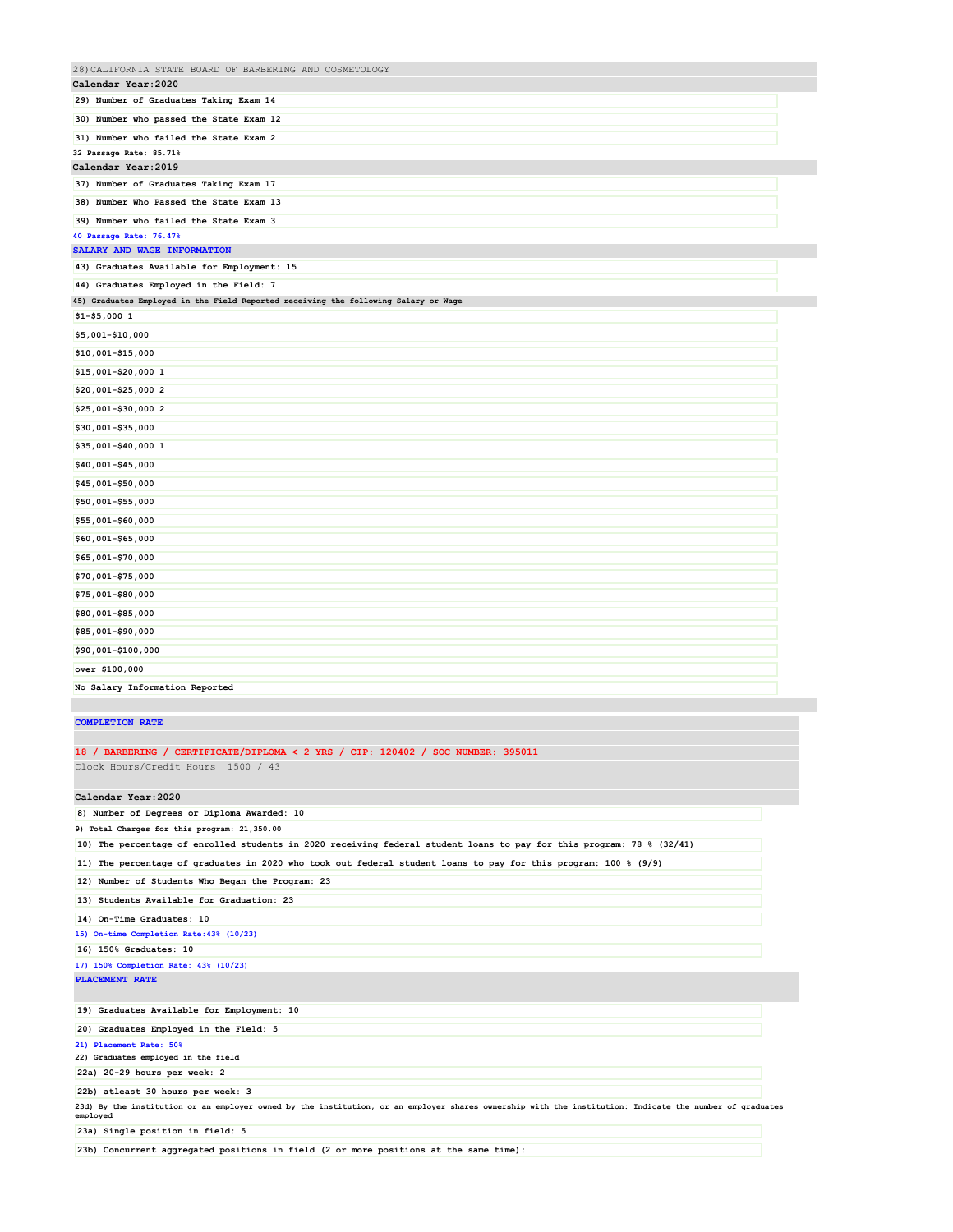| 28) CALIFORNIA STATE BOARD OF BARBERING AND COSMETOLOGY                             |  |
|-------------------------------------------------------------------------------------|--|
| Calendar Year: 2020                                                                 |  |
| 29) Number of Graduates Taking Exam 14                                              |  |
| 30) Number who passed the State Exam 12                                             |  |
| 31) Number who failed the State Exam 2                                              |  |
| 32 Passage Rate: 85.71%                                                             |  |
| Calendar Year: 2019                                                                 |  |
| 37) Number of Graduates Taking Exam 17                                              |  |
| 38) Number Who Passed the State Exam 13                                             |  |
| 39) Number who failed the State Exam 3                                              |  |
| 40 Passage Rate: 76.47%                                                             |  |
| SALARY AND WAGE INFORMATION                                                         |  |
| 43) Graduates Available for Employment: 15                                          |  |
| 44) Graduates Employed in the Field: 7                                              |  |
| 45) Graduates Employed in the Field Reported receiving the following Salary or Wage |  |
| $$1 - $5,0001$                                                                      |  |
| \$5,001-\$10,000                                                                    |  |
| \$10,001-\$15,000                                                                   |  |
| \$15,001-\$20,000 1                                                                 |  |
| \$20,001-\$25,000 2                                                                 |  |
| \$25,001-\$30,000 2                                                                 |  |
| \$30,001-\$35,000                                                                   |  |
| \$35,001-\$40,000 1                                                                 |  |
| \$40,001-\$45,000                                                                   |  |
| \$45,001-\$50,000                                                                   |  |
| \$50,001-\$55,000                                                                   |  |
| \$55,001-\$60,000                                                                   |  |
| \$60,001-\$65,000                                                                   |  |
| \$65,001-\$70,000                                                                   |  |
| \$70,001-\$75,000                                                                   |  |
| \$75,001-\$80,000                                                                   |  |
| \$80,001-\$85,000                                                                   |  |
| \$85,001-\$90,000                                                                   |  |
| \$90,001-\$100,000                                                                  |  |
| over \$100,000                                                                      |  |
| No Salary Information Reported                                                      |  |

## **COMPLETION RATE**

### **18 / BARBERING / CERTIFICATE/DIPLOMA < 2 YRS / CIP: 120402 / SOC NUMBER: 395011** Clock Hours/Credit Hours 1500 / 43

**Calendar Year:2020**

| 8) Number of Degrees or Diploma Awarded: 10                                                                                                                         |
|---------------------------------------------------------------------------------------------------------------------------------------------------------------------|
| 9) Total Charges for this program: 21,350.00                                                                                                                        |
| 10) The percentage of enrolled students in 2020 receiving federal student loans to pay for this program: 78 % (32/41)                                               |
| 11) The percentage of graduates in 2020 who took out federal student loans to pay for this program: 100 % (9/9)                                                     |
| 12) Number of Students Who Began the Program: 23                                                                                                                    |
| 13) Students Available for Graduation: 23                                                                                                                           |
| 14) On-Time Graduates: 10                                                                                                                                           |
| 15) On-time Completion Rate: 43% (10/23)                                                                                                                            |
| 16) 150% Graduates: 10                                                                                                                                              |
| 17) 150% Completion Rate: 43% (10/23)                                                                                                                               |
| <b>PLACEMENT RATE</b>                                                                                                                                               |
|                                                                                                                                                                     |
| 19) Graduates Available for Employment: 10                                                                                                                          |
| 20) Graduates Employed in the Field: 5                                                                                                                              |
| 21) Placement Rate: 50%                                                                                                                                             |
| 22) Graduates employed in the field                                                                                                                                 |
| 22a) 20-29 hours per week: 2                                                                                                                                        |
| 22b) atleast 30 hours per week: 3                                                                                                                                   |
| 23d) By the institution or an employer owned by the institution, or an employer shares ownership with the institution: Indicate the number of graduates<br>employed |
| 23a) Single position in field: 5                                                                                                                                    |

**23b) Concurrent aggregated positions in field (2 or more positions at the same time):**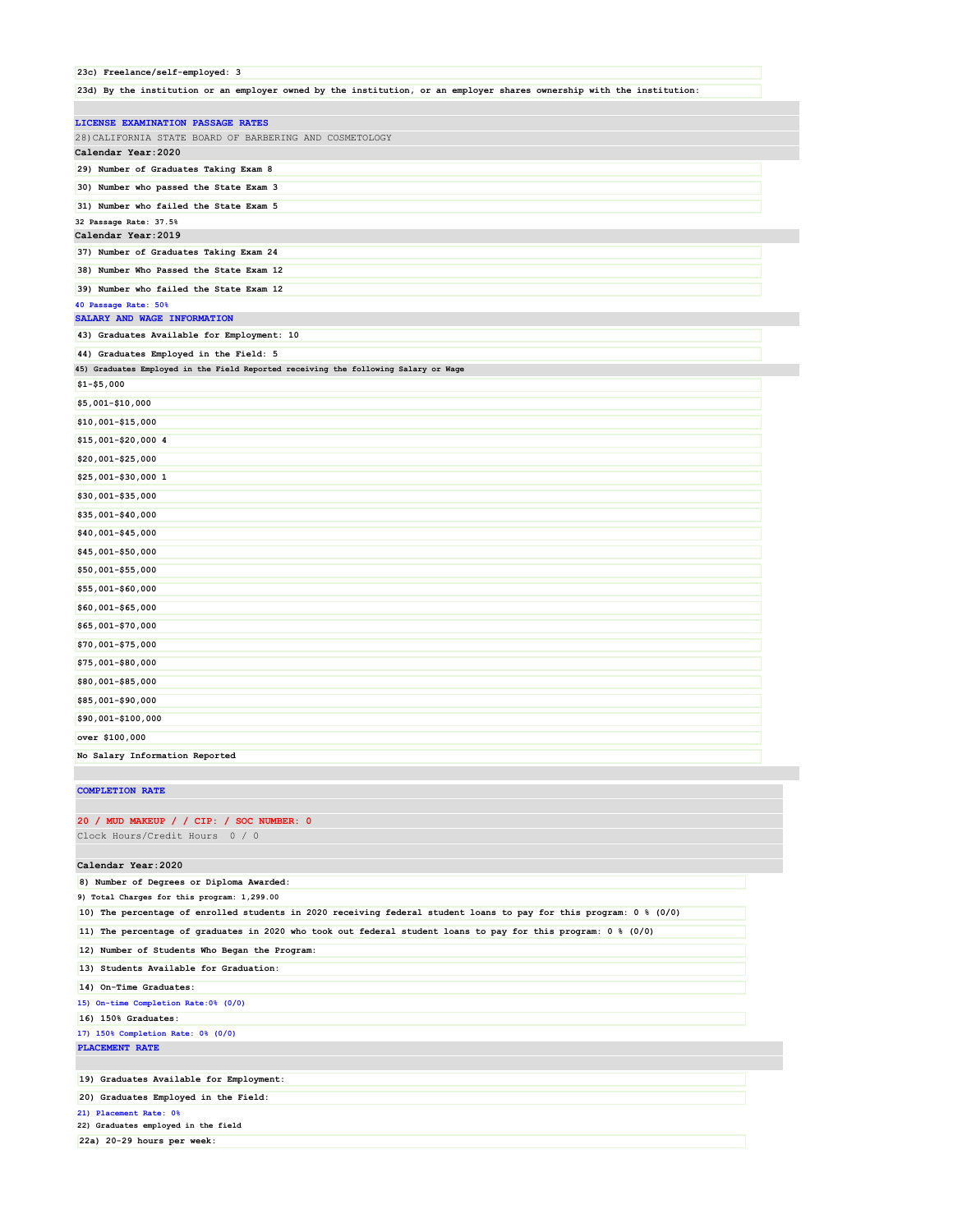|                        | 23c) Freelance/self-employed: 3                                                                                        |
|------------------------|------------------------------------------------------------------------------------------------------------------------|
|                        | 23d) By the institution or an employer owned by the institution, or an employer shares ownership with the institution: |
|                        | LICENSE EXAMINATION PASSAGE RATES                                                                                      |
|                        | 28) CALIFORNIA STATE BOARD OF BARBERING AND COSMETOLOGY                                                                |
| Calendar Year: 2020    |                                                                                                                        |
|                        | 29) Number of Graduates Taking Exam 8                                                                                  |
|                        | 30) Number who passed the State Exam 3                                                                                 |
|                        | 31) Number who failed the State Exam 5                                                                                 |
| 32 Passage Rate: 37.5% |                                                                                                                        |
| Calendar Year: 2019    |                                                                                                                        |
|                        | 37) Number of Graduates Taking Exam 24                                                                                 |
|                        | 38) Number Who Passed the State Exam 12                                                                                |
|                        | 39) Number who failed the State Exam 12                                                                                |
| 40 Passage Rate: 50%   |                                                                                                                        |
|                        | SALARY AND WAGE INFORMATION                                                                                            |
|                        | 43) Graduates Available for Employment: 10                                                                             |
|                        | 44) Graduates Employed in the Field: 5                                                                                 |
|                        | 45) Graduates Employed in the Field Reported receiving the following Salary or Wage                                    |
| $$1 - $5,000$          |                                                                                                                        |
| \$5,001-\$10,000       |                                                                                                                        |
| \$10,001-\$15,000      |                                                                                                                        |
| \$15,001-\$20,000 4    |                                                                                                                        |
| \$20,001-\$25,000      |                                                                                                                        |
| \$25,001-\$30,000 1    |                                                                                                                        |
| \$30,001-\$35,000      |                                                                                                                        |
| \$35,001-\$40,000      |                                                                                                                        |
| \$40,001-\$45,000      |                                                                                                                        |
| \$45,001-\$50,000      |                                                                                                                        |
| \$50,001-\$55,000      |                                                                                                                        |
| \$55,001-\$60,000      |                                                                                                                        |
| \$60,001-\$65,000      |                                                                                                                        |
| \$65,001-\$70,000      |                                                                                                                        |
|                        |                                                                                                                        |

# **\$70,001-\$75,000 \$75,001-\$80,000 \$80,001-\$85,000 \$85,001-\$90,000 \$90,001-\$100,000 over \$100,000 No Salary Information Reported**

### **COMPLETION RATE**

### **20 / MUD MAKEUP / / CIP: / SOC NUMBER: 0**

Clock Hours/Credit Hours 0 / 0

### **Calendar Year:2020**

| 8) Number of Degrees or Diploma Awarded:                                                                              |
|-----------------------------------------------------------------------------------------------------------------------|
| 9) Total Charges for this program: 1,299.00                                                                           |
| 10) The percentage of enrolled students in 2020 receiving federal student loans to pay for this program: 0 % (0/0)    |
| 11) The percentage of graduates in 2020 who took out federal student loans to pay for this program: $0 \tbinom{8}{0}$ |
| 12) Number of Students Who Began the Program:                                                                         |
| 13) Students Available for Graduation:                                                                                |
| 14) On-Time Graduates:                                                                                                |
| 15) On-time Completion Rate: 0% (0/0)                                                                                 |
| 16) 150% Graduates:                                                                                                   |
| 17) 150% Completion Rate: 0% (0/0)                                                                                    |
| PLACEMENT RATE                                                                                                        |
|                                                                                                                       |
| 19) Graduates Available for Employment:                                                                               |
| 20) Graduates Employed in the Field:                                                                                  |
| 21) Placement Rate: 0%                                                                                                |

**22) Graduates employed in the field**

**22a) 20-29 hours per week:**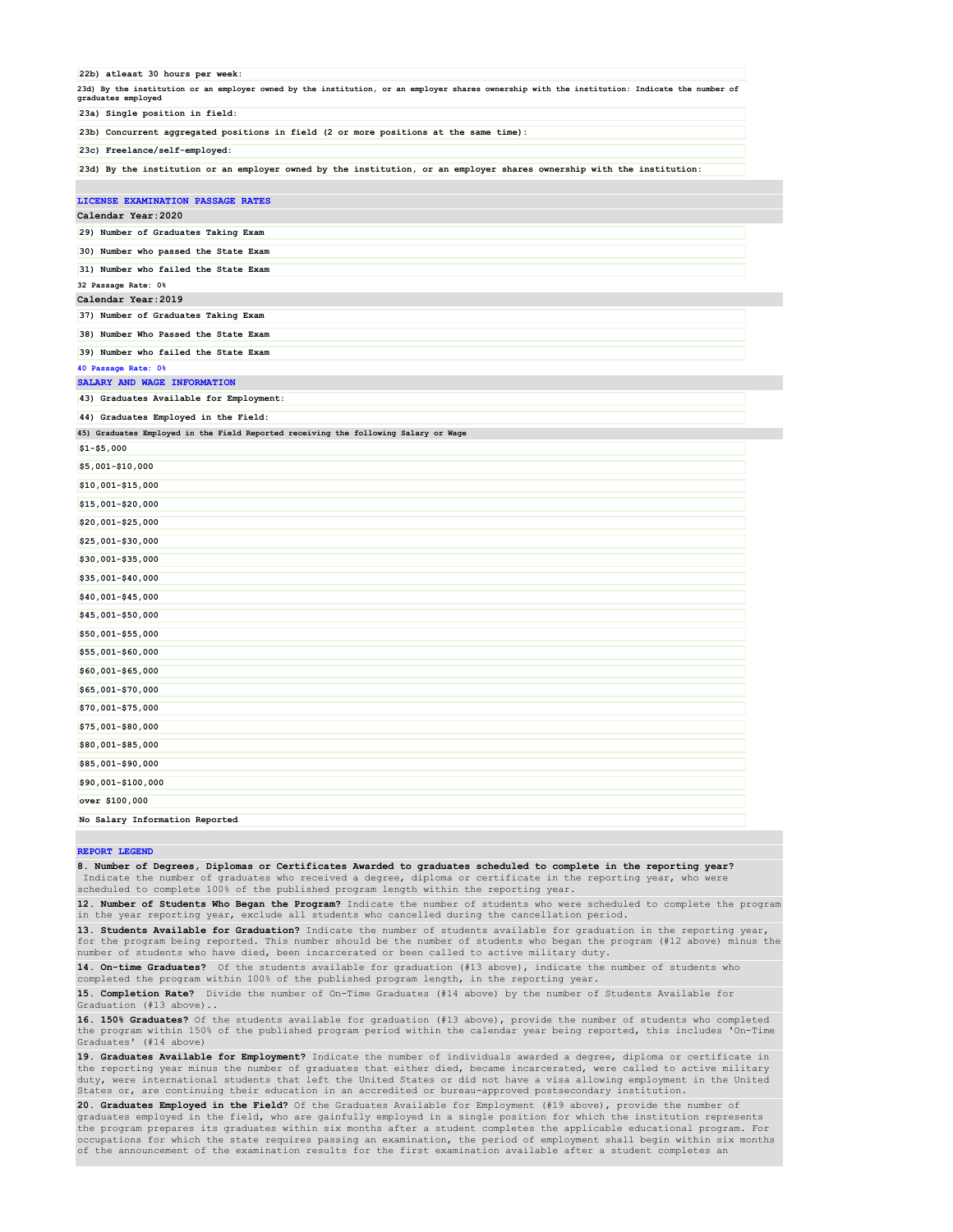| 22b) atleast 30 hours per week:                                                                                                                                     |
|---------------------------------------------------------------------------------------------------------------------------------------------------------------------|
| 23d) By the institution or an employer owned by the institution, or an employer shares ownership with the institution: Indicate the number of<br>graduates employed |
| 23a) Single position in field:                                                                                                                                      |
| 23b) Concurrent aggregated positions in field (2 or more positions at the same time):                                                                               |
| 23c) Freelance/self-employed:                                                                                                                                       |
| 23d) By the institution or an employer owned by the institution, or an employer shares ownership with the institution:                                              |
|                                                                                                                                                                     |
| LICENSE EXAMINATION PASSAGE RATES                                                                                                                                   |
| Calendar Year: 2020                                                                                                                                                 |
| 29) Number of Graduates Taking Exam                                                                                                                                 |
| 30) Number who passed the State Exam                                                                                                                                |
| 31) Number who failed the State Exam                                                                                                                                |
| 32 Passage Rate: 0%<br>Calendar Year: 2019                                                                                                                          |
| 37) Number of Graduates Taking Exam                                                                                                                                 |
| 38) Number Who Passed the State Exam                                                                                                                                |
| 39) Number who failed the State Exam                                                                                                                                |
| 40 Passage Rate: 0%                                                                                                                                                 |
| SALARY AND WAGE INFORMATION                                                                                                                                         |
| 43) Graduates Available for Employment:                                                                                                                             |
| 44) Graduates Employed in the Field:                                                                                                                                |
| 45) Graduates Employed in the Field Reported receiving the following Salary or Wage                                                                                 |
| $$1 - $5,000$                                                                                                                                                       |
| \$5,001-\$10,000                                                                                                                                                    |
| \$10,001-\$15,000                                                                                                                                                   |
| \$15,001-\$20,000                                                                                                                                                   |
| \$20,001-\$25,000                                                                                                                                                   |
| \$25,001-\$30,000                                                                                                                                                   |
| \$30,001-\$35,000                                                                                                                                                   |
| \$35,001-\$40,000                                                                                                                                                   |
| \$40,001-\$45,000                                                                                                                                                   |
| \$45,001-\$50,000                                                                                                                                                   |
| \$50,001-\$55,000                                                                                                                                                   |
| \$55,001-\$60,000                                                                                                                                                   |
| \$60,001-\$65,000                                                                                                                                                   |
| \$65,001-\$70,000                                                                                                                                                   |
| \$70,001-\$75,000                                                                                                                                                   |
| \$75,001-\$80,000                                                                                                                                                   |
| \$80,001-\$85,000                                                                                                                                                   |
| \$85,001-\$90,000                                                                                                                                                   |
|                                                                                                                                                                     |
| \$90,001-\$100,000                                                                                                                                                  |
| over \$100,000                                                                                                                                                      |
| No Salary Information Reported                                                                                                                                      |

#### **REPORT LEGEND**

**8. Number of Degrees, Diplomas or Certificates Awarded to graduates scheduled to complete in the reporting year?** Indicate the number of graduates who received a degree, diploma or certificate in the reporting year, who scheduled to complete 100% of the published program length within the reporting year.

**12. Number of Students Who Began the Program?** Indicate the number of students who were scheduled to complete the program in the year reporting year, exclude all students who cancelled during the cancellation period.

**13. Students Available for Graduation?** Indicate the number of students available for graduation in the reporting year,<br>for the program being reported. This number should be the number of students who began the program (# number of students who have died, been incarcerated or been called to active military duty.

**14. On-time Graduates?** Of the students available for graduation (#13 above), indicate the number of students who completed the program within 100% of the published program length, in the reporting year.

**15. Completion Rate?** Divide the number of On-Time Graduates (#14 above) by the number of Students Available for Graduation (#13 above)..

**16. 150% Graduates?** Of the students available for graduation (#13 above), provide the number of students who completed<br>the program within 150% of the published program period within the calendar year being reported, this Graduates' (#14 above)

**19. Graduates Available for Employment?** Indicate the number of individuals awarded a degree, diploma or certificate in<br>the reporting year minus the number of graduates that either died, became incarcerated, were called t duty, were international students that left the United States or did not have a visa allowing employment in the United States or, are continuing their education in an accredited or bureau-approved postsecondary institution.

**20. Graduates Employed in the Field?** Of the Graduates Available for Employment (#19 above), provide the number of graduates employed in the field, who are gainfully employed in a single position for which the institution represents the program prepares its graduates within six months after a student completes the applicable educational program. For occupations for which the state requires passing an examination, the period of employment shall begin within six months of the announcement of the examination results for the first examination available after a student completes an